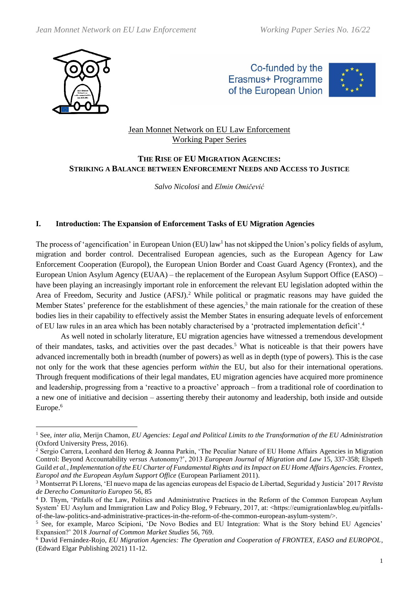

Co-funded by the Erasmus+ Programme of the European Union



# Jean Monnet Network on EU Law Enforcement Working Paper Series

# **THE RISE OF EU MIGRATION AGENCIES: STRIKING A BALANCE BETWEEN ENFORCEMENT NEEDS AND ACCESS TO JUSTICE**

*Salvo Nicolosi* and *Elmin Omičević*

# **I. Introduction: The Expansion of Enforcement Tasks of EU Migration Agencies**

The process of 'agencification' in European Union (EU) law<sup>1</sup> has not skipped the Union's policy fields of asylum, migration and border control. Decentralised European agencies, such as the European Agency for Law Enforcement Cooperation (Europol), the European Union Border and Coast Guard Agency (Frontex), and the European Union Asylum Agency (EUAA) – the replacement of the European Asylum Support Office (EASO) – have been playing an increasingly important role in enforcement the relevant EU legislation adopted within the Area of Freedom, Security and Justice (AFSJ).<sup>2</sup> While political or pragmatic reasons may have guided the Member States' preference for the establishment of these agencies, $3$  the main rationale for the creation of these bodies lies in their capability to effectively assist the Member States in ensuring adequate levels of enforcement of EU law rules in an area which has been notably characterised by a 'protracted implementation deficit'.<sup>4</sup>

As well noted in scholarly literature, EU migration agencies have witnessed a tremendous development of their mandates, tasks, and activities over the past decades.<sup>5</sup> What is noticeable is that their powers have advanced incrementally both in breadth (number of powers) as well as in depth (type of powers). This is the case not only for the work that these agencies perform *within* the EU, but also for their international operations. Through frequent modifications of their legal mandates, EU migration agencies have acquired more prominence and leadership, progressing from a 'reactive to a proactive' approach – from a traditional role of coordination to a new one of initiative and decision – asserting thereby their autonomy and leadership, both inside and outside Europe.<sup>6</sup>

<sup>1</sup> See, *inter alia*, Merijn Chamon, *EU Agencies: Legal and Political Limits to the Transformation of the EU Administration*  (Oxford University Press, 2016).

<sup>&</sup>lt;sup>2</sup> Sergio Carrera, Leonhard den Hertog & Joanna Parkin, 'The Peculiar Nature of EU Home Affairs Agencies in Migration Control: Beyond Accountability *versus* Autonomy?', 2013 *European Journal of Migration and Law* 15, 337-358; Elspeth Guild *et al.*, *Implementation of the EU Charter of Fundamental Rights and its Impact on EU Home Affairs Agencies. Frontex, Europol and the European Asylum Support Office* (European Parliament 2011).

<sup>3</sup> Montserrat Pi Llorens, 'El nuevo mapa de las agencias europeas del Espacio de Libertad, Seguridad y Justicia' 2017 *Revista de Derecho Comunitario Europeo* 56, 85

<sup>4</sup> D. Thym, 'Pitfalls of the Law, Politics and Administrative Practices in the Reform of the Common European Asylum System' EU Asylum and Immigration Law and Policy Blog, 9 February, 2017, at: <https://eumigrationlawblog.eu/pitfallsof-the-law-politics-and-administrative-practices-in-the-reform-of-the-common-european-asylum-system/>.

<sup>&</sup>lt;sup>5</sup> See, for example, Marco Scipioni, 'De Novo Bodies and EU Integration: What is the Story behind EU Agencies' Expansion?' 2018 *Journal of Common Market Studies* 56, 769.

<sup>6</sup> David Fernández-Rojo, *EU Migration Agencies: The Operation and Cooperation of FRONTEX, EASO and EUROPOL*, (Edward Elgar Publishing 2021) 11-12.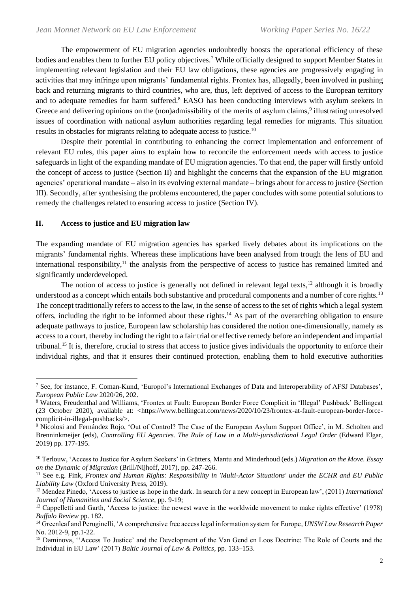The empowerment of EU migration agencies undoubtedly boosts the operational efficiency of these bodies and enables them to further EU policy objectives.<sup>7</sup> While officially designed to support Member States in implementing relevant legislation and their EU law obligations, these agencies are progressively engaging in activities that may infringe upon migrants' fundamental rights. Frontex has, allegedly, been involved in pushing back and returning migrants to third countries, who are, thus, left deprived of access to the European territory and to adequate remedies for harm suffered. <sup>8</sup> EASO has been conducting interviews with asylum seekers in Greece and delivering opinions on the (non)admissibility of the merits of asylum claims,<sup>9</sup> illustrating unresolved issues of coordination with national asylum authorities regarding legal remedies for migrants. This situation results in obstacles for migrants relating to adequate access to justice.<sup>10</sup>

Despite their potential in contributing to enhancing the correct implementation and enforcement of relevant EU rules, this paper aims to explain how to reconcile the enforcement needs with access to justice safeguards in light of the expanding mandate of EU migration agencies. To that end, the paper will firstly unfold the concept of access to justice (Section II) and highlight the concerns that the expansion of the EU migration agencies' operational mandate – also in its evolving external mandate – brings about for access to justice (Section III). Secondly, after synthesising the problems encountered, the paper concludes with some potential solutions to remedy the challenges related to ensuring access to justice (Section IV).

### **II. Access to justice and EU migration law**

The expanding mandate of EU migration agencies has sparked lively debates about its implications on the migrants' fundamental rights. Whereas these implications have been analysed from trough the lens of EU and international responsibility,<sup>11</sup> the analysis from the perspective of access to justice has remained limited and significantly underdeveloped.

The notion of access to justice is generally not defined in relevant legal texts,<sup>12</sup> although it is broadly understood as a concept which entails both substantive and procedural components and a number of core rights.<sup>13</sup> The concept traditionally refers to access to the law, in the sense of access to the set of rights which a legal system offers, including the right to be informed about these rights.<sup>14</sup> As part of the overarching obligation to ensure adequate pathways to justice, European law scholarship has considered the notion one-dimensionally, namely as access to a court, thereby including the right to a fair trial or effective remedy before an independent and impartial tribunal.<sup>15</sup> It is, therefore, crucial to stress that access to justice gives individuals the opportunity to enforce their individual rights, and that it ensures their continued protection, enabling them to hold executive authorities

<sup>&</sup>lt;sup>7</sup> See, for instance, F. Coman-Kund, 'Europol's International Exchanges of Data and Interoperability of AFSJ Databases', *European Public Law* 2020/26, 202.

<sup>8</sup> Waters, Freudenthal and Williams, 'Frontex at Fault: European Border Force Complicit in 'Illegal' Pushback' Bellingcat (23 October 2020), available at: <https://www.bellingcat.com/news/2020/10/23/frontex-at-fault-european-border-forcecomplicit-in-illegal-pushbacks/>.

<sup>&</sup>lt;sup>9</sup> Nicolosi and Fernández Rojo, 'Out of Control? The Case of the European Asylum Support Office', in M. Scholten and Brenninkmeijer (eds), *Controlling EU Agencies. The Rule of Law in a Multi-jurisdictional Legal Order* (Edward Elgar, 2019) pp. 177-195.

<sup>10</sup> Terlouw, 'Access to Justice for Asylum Seekers' in Grütters, Mantu and Minderhoud (eds.) *Migration on the Move. Essay on the Dynamic of Migration* (Brill/Nijhoff, 2017), pp. 247-266.

<sup>&</sup>lt;sup>11</sup> See e.g. Fink, *Frontex and Human Rights: Responsibility in 'Multi-Actor Situations' under the ECHR and EU Public Liability Law* (Oxford University Press, 2019).

<sup>12</sup> Mendez Pinedo, 'Access to justice as hope in the dark. In search for a new concept in European law', (2011) *International Journal of Humanities and Social Science*, pp. 9-19;

<sup>&</sup>lt;sup>13</sup> Cappelletti and Garth, 'Access to justice: the newest wave in the worldwide movement to make rights effective' (1978) *Buffalo Review* pp. 182.

<sup>14</sup> Greenleaf and Peruginelli, 'A comprehensive free access legal information system for Europe*, UNSW Law Research Paper*  No. 2012-9, pp.1-22.

<sup>&</sup>lt;sup>15</sup> Daminova, "Access To Justice' and the Development of the Van Gend en Loos Doctrine: The Role of Courts and the Individual in EU Law' (2017) *Baltic Journal of Law & Politics*, pp. 133–153.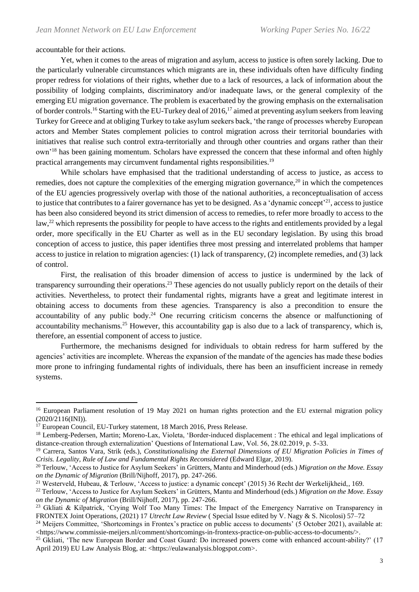accountable for their actions.

Yet, when it comes to the areas of migration and asylum, access to justice is often sorely lacking. Due to the particularly vulnerable circumstances which migrants are in, these individuals often have difficulty finding proper redress for violations of their rights, whether due to a lack of resources, a lack of information about the possibility of lodging complaints, discriminatory and/or inadequate laws, or the general complexity of the emerging EU migration governance. The problem is exacerbated by the growing emphasis on the externalisation of border controls.<sup>16</sup> Starting with the EU-Turkey deal of 2016,<sup>17</sup> aimed at preventing asylum seekers from leaving Turkey for Greece and at obliging Turkey to take asylum seekers back, 'the range of processes whereby European actors and Member States complement policies to control migration across their territorial boundaries with initiatives that realise such control extra-territorially and through other countries and organs rather than their own'<sup>18</sup> has been gaining momentum. Scholars have expressed the concern that these informal and often highly practical arrangements may circumvent fundamental rights responsibilities.<sup>19</sup>

While scholars have emphasised that the traditional understanding of access to justice, as access to remedies, does not capture the complexities of the emerging migration governance,<sup>20</sup> in which the competences of the EU agencies progressively overlap with those of the national authorities, a reconceptualisation of access to justice that contributes to a fairer governance has yet to be designed. As a 'dynamic concept'<sup>21</sup>, access to justice has been also considered beyond its strict dimension of access to remedies, to refer more broadly to access to the law,<sup>22</sup> which represents the possibility for people to have access to the rights and entitlements provided by a legal order, more specifically in the EU Charter as well as in the EU secondary legislation. By using this broad conception of access to justice, this paper identifies three most pressing and interrelated problems that hamper access to justice in relation to migration agencies: (1) lack of transparency, (2) incomplete remedies, and (3) lack of control.

First, the realisation of this broader dimension of access to justice is undermined by the lack of transparency surrounding their operations.<sup>23</sup> These agencies do not usually publicly report on the details of their activities. Nevertheless, to protect their fundamental rights, migrants have a great and legitimate interest in obtaining access to documents from these agencies. Transparency is also a precondition to ensure the accountability of any public body.<sup>24</sup> One recurring criticism concerns the absence or malfunctioning of accountability mechanisms.<sup>25</sup> However, this accountability gap is also due to a lack of transparency, which is, therefore, an essential component of access to justice.

Furthermore, the mechanisms designed for individuals to obtain redress for harm suffered by the agencies' activities are incomplete. Whereas the expansion of the mandate of the agencies has made these bodies more prone to infringing fundamental rights of individuals, there has been an insufficient increase in remedy systems.

<sup>&</sup>lt;sup>16</sup> European Parliament resolution of 19 May 2021 on human rights protection and the EU external migration policy  $(2020/2116$ (INI)).

<sup>&</sup>lt;sup>17</sup> European Council, EU-Turkey statement, 18 March 2016, Press Release.

<sup>&</sup>lt;sup>18</sup> Lemberg-Pedersen, Martin; Moreno-Lax, Violeta, 'Border-induced displacement : The ethical and legal implications of distance-creation through externalization' Questions of International Law, Vol. 56, 28.02.2019, p. 5-33.

<sup>19</sup> Carrera, Santos Vara, Strik (eds.), *Constitutionalising the External Dimensions of EU Migration Policies in Times of Crisis. Legality, Rule of Law and Fundamental Rights Reconsidered* (Edward Elgar, 2019).

<sup>20</sup> Terlouw, 'Access to Justice for Asylum Seekers' in Grütters, Mantu and Minderhoud (eds.) *Migration on the Move. Essay on the Dynamic of Migration* (Brill/Nijhoff, 2017), pp. 247-266.

<sup>21</sup> Westerveld, Hubeau, & Terlouw, 'Access to justice: a dynamic concept' (2015) 36 Recht der Werkelijkheid,, 169.

<sup>22</sup> Terlouw, 'Access to Justice for Asylum Seekers' in Grütters, Mantu and Minderhoud (eds.) *Migration on the Move. Essay on the Dynamic of Migration* (Brill/Nijhoff, 2017), pp. 247-266.

<sup>&</sup>lt;sup>23</sup> Gkliati & Kilpatrick, 'Crying Wolf Too Many Times: The Impact of the Emergency Narrative on Transparency in FRONTEX Joint Operations, (2021) 17 *Utrecht Law Review* ( Special Issue edited by V. Nagy & S. Nicolosi) 57–72

<sup>&</sup>lt;sup>24</sup> Meijers Committee, 'Shortcomings in Frontex's practice on public access to documents' (5 October 2021), available at: <https://www.commissie-meijers.nl/comment/shortcomings-in-frontexs-practice-on-public-access-to-documents/>.

<sup>&</sup>lt;sup>25</sup> Gkliati, 'The new European Border and Coast Guard: Do increased powers come with enhanced account-ability?' (17 April 2019) EU Law Analysis Blog, at: <https://eulawanalysis.blogspot.com>.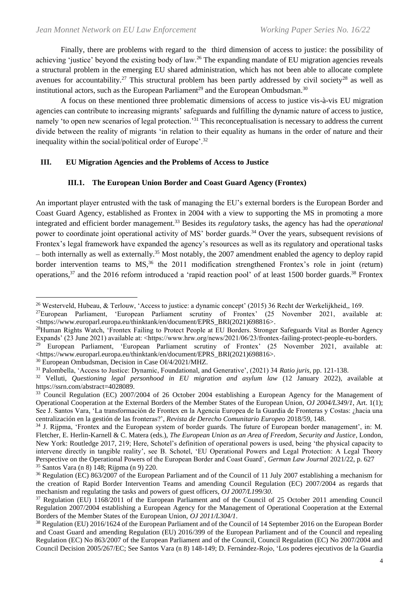Finally, there are problems with regard to the third dimension of access to justice: the possibility of achieving 'justice' beyond the existing body of law.<sup>26</sup> The expanding mandate of EU migration agencies reveals a structural problem in the emerging EU shared administration, which has not been able to allocate complete avenues for accountability.<sup>27</sup> This structural problem has been partly addressed by civil society<sup>28</sup> as well as institutional actors, such as the European Parliament<sup>29</sup> and the European Ombudsman.<sup>30</sup>

A focus on these mentioned three problematic dimensions of access to justice vis-à-vis EU migration agencies can contribute to increasing migrants' safeguards and fulfilling the dynamic nature of access to justice, namely 'to open new scenarios of legal protection.<sup>31</sup> This reconceptualisation is necessary to address the current divide between the reality of migrants 'in relation to their equality as humans in the order of nature and their inequality within the social/political order of Europe'.<sup>32</sup>

# **III. EU Migration Agencies and the Problems of Access to Justice**

# **III.1. The European Union Border and Coast Guard Agency (Frontex)**

An important player entrusted with the task of managing the EU's external borders is the European Border and Coast Guard Agency, established as Frontex in 2004 with a view to supporting the MS in promoting a more integrated and efficient border management.<sup>33</sup> Besides its *regulatory* tasks, the agency has had the *operational* power to coordinate joint operational activity of MS' border guards.<sup>34</sup> Over the years, subsequent revisions of Frontex's legal framework have expanded the agency's resources as well as its regulatory and operational tasks – both internally as well as externally.<sup>35</sup> Most notably, the 2007 amendment enabled the agency to deploy rapid border intervention teams to MS,<sup>36</sup> the 2011 modification strengthened Frontex's role in joint (return) operations,  $37$  and the 2016 reform introduced a 'rapid reaction pool' of at least 1500 border guards.  $38$  Frontex

<sup>30</sup> European Ombudsman, Decision in Case OI/4/2021/MHZ.

<sup>&</sup>lt;sup>26</sup> Westerveld, Hubeau, & Terlouw, 'Access to justice: a dynamic concept' (2015) 36 Recht der Werkelijkheid,, 169.

<sup>27</sup>European Parliament, 'European Parliament scrutiny of Frontex' (25 November 2021, available at: <https://www.europarl.europa.eu/thinktank/en/document/EPRS\_BRI(2021)698816>.

<sup>&</sup>lt;sup>28</sup>Human Rights Watch, 'Frontex Failing to Protect People at EU Borders. Stronger Safeguards Vital as Border Agency Expands' (23 June 2021) available at: <https://www.hrw.org/news/2021/06/23/frontex-failing-protect-people-eu-borders.

<sup>29</sup> European Parliament, 'European Parliament scrutiny of Frontex' (25 November 2021, available at: <https://www.europarl.europa.eu/thinktank/en/document/EPRS\_BRI(2021)698816>.

<sup>31</sup> Palombella, 'Access to Justice: Dynamic, Foundational, and Generative', (2021) 34 *Ratio juris*, pp. 121-138.

<sup>32</sup> Velluti, *Questioning legal personhood in EU migration and asylum law* (12 January 2022), available at https://ssrn.com/abstract=4028089.

<sup>&</sup>lt;sup>33</sup> Council Regulation (EC) 2007/2004 of 26 October 2004 establishing a European Agency for the Management of Operational Cooperation at the External Borders of the Member States of the European Union, *OJ 2004/L349/1*, Art. 1(1); See J. Santos Vara, 'La transformación de Frontex en la Agencia Europea de la Guardia de Fronteras y Costas: ¿hacia una centralización en la gestión de las fronteras?', *Revista de Derecho Comunitario Europeo* 2018/59, 148.

<sup>&</sup>lt;sup>34</sup> J. Rijpma, 'Frontex and the European system of border guards. The future of European border management', in: M. Fletcher, E. Herlin-Karnell & C. Matera (eds.), *The European Union as an Area of Freedom, Security and Justice*, London, New York: Routledge 2017, 219; Here, Schotel's definition of operational powers is used, being 'the physical capacity to intervene directly in tangible reality', see B. Schotel, 'EU Operational Powers and Legal Protection: A Legal Theory Perspective on the Operational Powers of the European Border and Coast Guard', *German Law Journal* 2021/22, p. 627 <sup>35</sup> Santos Vara (n 8) 148; Rijpma (n 9) 220.

 $36$  Regulation (EC) 863/2007 of the European Parliament and of the Council of 11 July 2007 establishing a mechanism for the creation of Rapid Border Intervention Teams and amending Council Regulation (EC) 2007/2004 as regards that mechanism and regulating the tasks and powers of guest officers, *OJ 2007/L199/30*.

<sup>37</sup> Regulation (EU) 1168/2011 of the European Parliament and of the Council of 25 October 2011 amending Council Regulation 2007/2004 establishing a European Agency for the Management of Operational Cooperation at the External Borders of the Member States of the European Union, *OJ 2011/L304/1*.

<sup>38</sup> Regulation (EU) 2016/1624 of the European Parliament and of the Council of 14 September 2016 on the European Border and Coast Guard and amending Regulation (EU) 2016/399 of the European Parliament and of the Council and repealing Regulation (EC) No 863/2007 of the European Parliament and of the Council, Council Regulation (EC) No 2007/2004 and Council Decision 2005/267/EC; See Santos Vara (n 8) 148-149; D. Fernández-Rojo, 'Los poderes ejecutivos de la Guardia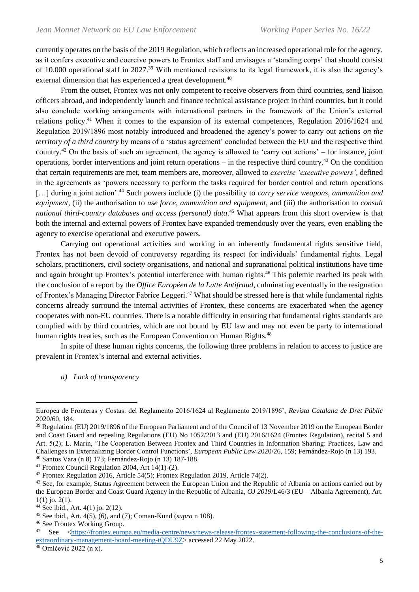currently operates on the basis of the 2019 Regulation, which reflects an increased operational role for the agency, as it confers executive and coercive powers to Frontex staff and envisages a 'standing corps' that should consist of 10.000 operational staff in 2027.<sup>39</sup> With mentioned revisions to its legal framework, it is also the agency's external dimension that has experienced a great development.<sup>40</sup>

From the outset, Frontex was not only competent to receive observers from third countries, send liaison officers abroad, and independently launch and finance technical assistance project in third countries, but it could also conclude working arrangements with international partners in the framework of the Union's external relations policy.<sup>41</sup> When it comes to the expansion of its external competences, Regulation 2016/1624 and Regulation 2019/1896 most notably introduced and broadened the agency's power to carry out actions *on the territory of a third country* by means of a 'status agreement' concluded between the EU and the respective third country.<sup>42</sup> On the basis of such an agreement, the agency is allowed to 'carry out actions' – for instance, joint operations, border interventions and joint return operations – in the respective third country.<sup>43</sup> On the condition that certain requirements are met, team members are, moreover, allowed to *exercise 'executive powers'*, defined in the agreements as 'powers necessary to perform the tasks required for border control and return operations [...] during a joint action<sup>', 44</sup> Such powers include (i) the possibility to *carry service weapons, ammunition and equipment*, (ii) the authorisation to *use force, ammunition and equipment*, and (iii) the authorisation to *consult national third-country databases and access (personal) data*. <sup>45</sup> What appears from this short overview is that both the internal and external powers of Frontex have expanded tremendously over the years, even enabling the agency to exercise operational and executive powers.

Carrying out operational activities and working in an inherently fundamental rights sensitive field, Frontex has not been devoid of controversy regarding its respect for individuals' fundamental rights. Legal scholars, practitioners, civil society organisations, and national and supranational political institutions have time and again brought up Frontex's potential interference with human rights.<sup>46</sup> This polemic reached its peak with the conclusion of a report by the *Office Européen de la Lutte Antifraud*, culminating eventually in the resignation of Frontex's Managing Director Fabrice Leggeri.<sup>47</sup> What should be stressed here is that while fundamental rights concerns already surround the internal activities of Frontex, these concerns are exacerbated when the agency cooperates with non-EU countries. There is a notable difficulty in ensuring that fundamental rights standards are complied with by third countries, which are not bound by EU law and may not even be party to international human rights treaties, such as the European Convention on Human Rights.<sup>48</sup>

In spite of these human rights concerns, the following three problems in relation to access to justice are prevalent in Frontex's internal and external activities.

*a) Lack of transparency*

<sup>40</sup> Santos Vara (n 8) 173; Fernández-Rojo (n 13) 187-188.

<sup>41</sup> Frontex Council Regulation 2004, Art 14(1)-(2).

Europea de Fronteras y Costas: del Reglamento 2016/1624 al Reglamento 2019/1896', *Revista Catalana de Dret Públic* 2020/60, 184.

<sup>&</sup>lt;sup>39</sup> Regulation (EU) 2019/1896 of the European Parliament and of the Council of 13 November 2019 on the European Border and Coast Guard and repealing Regulations (EU) No 1052/2013 and (EU) 2016/1624 (Frontex Regulation), recital 5 and Art. 5(2); L. Marin, 'The Cooperation Between Frontex and Third Countries in Information Sharing: Practices, Law and Challenges in Externalizing Border Control Functions', *European Public Law* 2020/26, 159; Fernández-Rojo (n 13) 193.

<sup>42</sup> Frontex Regulation 2016, Article 54(5); Frontex Regulation 2019, Article 74(2).

<sup>&</sup>lt;sup>43</sup> See, for example, Status Agreement between the European Union and the Republic of Albania on actions carried out by the European Border and Coast Guard Agency in the Republic of Albania, *OJ 2019*/L46/3 (EU – Albania Agreement), Art. 1(1) jo. 2(1).

<sup>44</sup> See ibid., Art. 4(1) jo. 2(12).

<sup>45</sup> See ibid., Art. 4(5), (6), and (7); Coman-Kund (*supra* n 108).

<sup>46</sup> See Frontex Working Group.

<sup>47</sup> See [<https://frontex.europa.eu/media-centre/news/news-release/frontex-statement-following-the-conclusions-of-the](https://frontex.europa.eu/media-centre/news/news-release/frontex-statement-following-the-conclusions-of-the-extraordinary-management-board-meeting-tQDU9Z)[extraordinary-management-board-meeting-tQDU9Z>](https://frontex.europa.eu/media-centre/news/news-release/frontex-statement-following-the-conclusions-of-the-extraordinary-management-board-meeting-tQDU9Z) accessed 22 May 2022.

<sup>48</sup> Omičević 2022 (n x).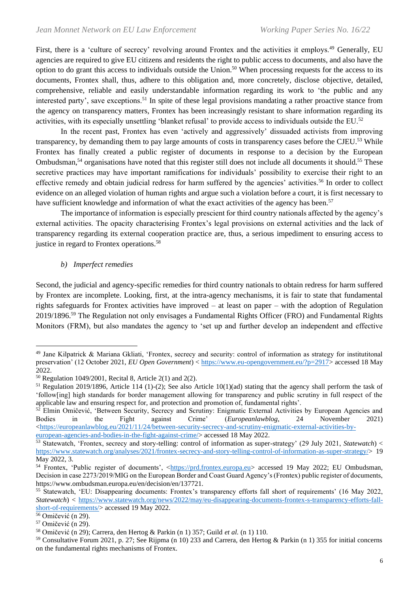First, there is a 'culture of secrecy' revolving around Frontex and the activities it employs.<sup>49</sup> Generally, EU agencies are required to give EU citizens and residents the right to public access to documents, and also have the option to do grant this access to individuals outside the Union.<sup>50</sup> When processing requests for the access to its documents, Frontex shall, thus, adhere to this obligation and, more concretely, disclose objective, detailed, comprehensive, reliable and easily understandable information regarding its work to 'the public and any interested party', save exceptions.<sup>51</sup> In spite of these legal provisions mandating a rather proactive stance from the agency on transparency matters, Frontex has been increasingly resistant to share information regarding its activities, with its especially unsettling 'blanket refusal' to provide access to individuals outside the EU.<sup>52</sup>

In the recent past, Frontex has even 'actively and aggressively' dissuaded activists from improving transparency, by demanding them to pay large amounts of costs in transparency cases before the CJEU.<sup>53</sup> While Frontex has finally created a public register of documents in response to a decision by the European Ombudsman,<sup>54</sup> organisations have noted that this register still does not include all documents it should.<sup>55</sup> These secretive practices may have important ramifications for individuals' possibility to exercise their right to an effective remedy and obtain judicial redress for harm suffered by the agencies' activities.<sup>56</sup> In order to collect evidence on an alleged violation of human rights and argue such a violation before a court, it is first necessary to have sufficient knowledge and information of what the exact activities of the agency has been.<sup>57</sup>

The importance of information is especially prescient for third country nationals affected by the agency's external activities. The opacity characterising Frontex's legal provisions on external activities and the lack of transparency regarding its external cooperation practice are, thus, a serious impediment to ensuring access to justice in regard to Frontex operations.<sup>58</sup>

## *b) Imperfect remedies*

Second, the judicial and agency-specific remedies for third country nationals to obtain redress for harm suffered by Frontex are incomplete. Looking, first, at the intra-agency mechanisms, it is fair to state that fundamental rights safeguards for Frontex activities have improved – at least on paper – with the adoption of Regulation 2019/1896.<sup>59</sup> The Regulation not only envisages a Fundamental Rights Officer (FRO) and Fundamental Rights Monitors (FRM), but also mandates the agency to 'set up and further develop an independent and effective

<sup>49</sup> Jane Kilpatrick & Mariana Gkliati, 'Frontex, secrecy and security: control of information as strategy for institutitonal preservation' (12 October 2021, *EU Open Government*) < [https://www.eu-opengovernment.eu/?p=2917>](https://www.eu-opengovernment.eu/?p=2917) accessed 18 May 2022.

<sup>50</sup> Regulation 1049/2001, Recital 8, Article 2(1) and 2(2).

<sup>&</sup>lt;sup>51</sup> Regulation 2019/1896, Article 114 (1)-(2); See also Article 10(1)(ad) stating that the agency shall perform the task of 'follow[ing] high standards for border management allowing for transparency and public scrutiny in full respect of the applicable law and ensuring respect for, and protection and promotion of, fundamental rights'.

 $52$  Elmin Omičević, 'Between Security, Secrecy and Scrutiny: Enigmatic External Activities by European Agencies and Bodies in the Fight against Crime' (*Europeanlawblog*, 24 November 2021) Bodies in the Fight against Crime' (*Europeanlawblog*, 24 November 2021)  $\langle$ https://europeanlawblog.eu/2021/11/24/between-security-secrecy-and-scrutiny-enigmatic-external-activities-by[european-agencies-and-bodies-in-the-fight-against-crime/>](https://europeanlawblog.eu/2021/11/24/between-security-secrecy-and-scrutiny-enigmatic-external-activities-by-european-agencies-and-bodies-in-the-fight-against-crime/) accessed 18 May 2022.

<sup>53</sup> Statewatch, 'Frontex, secrecy and story-telling: control of information as super-strategy' (29 July 2021, *Statewatch*) < [https://www.statewatch.org/analyses/2021/frontex-secrecy-and-story-telling-control-of-information-as-super-strategy/>](https://www.statewatch.org/analyses/2021/frontex-secrecy-and-story-telling-control-of-information-as-super-strategy/) 19 May 2022, 3.

<sup>&</sup>lt;sup>54</sup> Frontex, 'Public register of documents', [<https://prd.frontex.europa.eu>](https://prd.frontex.europa.eu/) accessed 19 May 2022; EU Ombudsman, Decision in case 2273/2019/MIG on the European Border and Coast Guard Agency's (Frontex) public register of documents, https://www.ombudsman.europa.eu/en/decision/en/137721.

<sup>&</sup>lt;sup>55</sup> Statewatch, 'EU: Disappearing documents: Frontex's transparency efforts fall short of requirements' (16 May 2022, *Statewatch*) < [https://www.statewatch.org/news/2022/may/eu-disappearing-documents-frontex-s-transparency-efforts-fall](https://www.statewatch.org/news/2022/may/eu-disappearing-documents-frontex-s-transparency-efforts-fall-short-of-requirements/)[short-of-requirements/>](https://www.statewatch.org/news/2022/may/eu-disappearing-documents-frontex-s-transparency-efforts-fall-short-of-requirements/) accessed 19 May 2022.

<sup>56</sup> Omičević (n 29).

<sup>57</sup> Omičević (n 29).

<sup>58</sup> Omičević (n 29); Carrera, den Hertog & Parkin (n 1) 357; Guild *et al.* (n 1) 110.

<sup>59</sup> Consultative Forum 2021, p. 27; See Rijpma (n 10) 233 and Carrera, den Hertog & Parkin (n 1) 355 for initial concerns on the fundamental rights mechanisms of Frontex.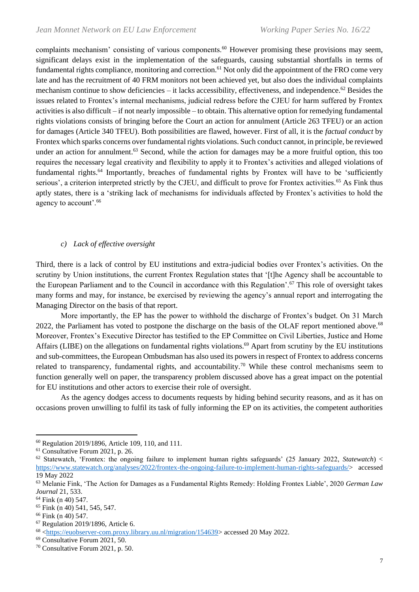complaints mechanism' consisting of various components.<sup>60</sup> However promising these provisions may seem, significant delays exist in the implementation of the safeguards, causing substantial shortfalls in terms of fundamental rights compliance, monitoring and correction.<sup>61</sup> Not only did the appointment of the FRO come very late and has the recruitment of 40 FRM monitors not been achieved yet, but also does the individual complaints mechanism continue to show deficiencies – it lacks accessibility, effectiveness, and independence.<sup>62</sup> Besides the issues related to Frontex's internal mechanisms, judicial redress before the CJEU for harm suffered by Frontex activities is also difficult – if not nearly impossible – to obtain. This alternative option for remedying fundamental rights violations consists of bringing before the Court an action for annulment (Article 263 TFEU) or an action for damages (Article 340 TFEU). Both possibilities are flawed, however. First of all, it is the *factual conduct* by Frontex which sparks concerns over fundamental rights violations. Such conduct cannot, in principle, be reviewed under an action for annulment.<sup>63</sup> Second, while the action for damages may be a more fruitful option, this too requires the necessary legal creativity and flexibility to apply it to Frontex's activities and alleged violations of fundamental rights.<sup>64</sup> Importantly, breaches of fundamental rights by Frontex will have to be 'sufficiently serious', a criterion interpreted strictly by the CJEU, and difficult to prove for Frontex activities.<sup>65</sup> As Fink thus aptly states, there is a 'striking lack of mechanisms for individuals affected by Frontex's activities to hold the agency to account'.<sup>66</sup>

### *c) Lack of effective oversight*

Third, there is a lack of control by EU institutions and extra-judicial bodies over Frontex's activities. On the scrutiny by Union institutions, the current Frontex Regulation states that '[t]he Agency shall be accountable to the European Parliament and to the Council in accordance with this Regulation'.<sup>67</sup> This role of oversight takes many forms and may, for instance, be exercised by reviewing the agency's annual report and interrogating the Managing Director on the basis of that report.

More importantly, the EP has the power to withhold the discharge of Frontex's budget. On 31 March 2022, the Parliament has voted to postpone the discharge on the basis of the OLAF report mentioned above.<sup>68</sup> Moreover, Frontex's Executive Director has testified to the EP Committee on Civil Liberties, Justice and Home Affairs (LIBE) on the allegations on fundamental rights violations.<sup>69</sup> Apart from scrutiny by the EU institutions and sub-committees, the European Ombudsman has also used its powers in respect of Frontex to address concerns related to transparency, fundamental rights, and accountability.<sup>70</sup> While these control mechanisms seem to function generally well on paper, the transparency problem discussed above has a great impact on the potential for EU institutions and other actors to exercise their role of oversight.

As the agency dodges access to documents requests by hiding behind security reasons, and as it has on occasions proven unwilling to fulfil its task of fully informing the EP on its activities, the competent authorities

<sup>60</sup> Regulation 2019/1896, Article 109, 110, and 111.

<sup>&</sup>lt;sup>61</sup> Consultative Forum 2021, p. 26.

<sup>62</sup> Statewatch, 'Frontex: the ongoing failure to implement human rights safeguards' (25 January 2022, *Statewatch*) < [https://www.statewatch.org/analyses/2022/frontex-the-ongoing-failure-to-implement-human-rights-safeguards/>](https://www.statewatch.org/analyses/2022/frontex-the-ongoing-failure-to-implement-human-rights-safeguards/) accessed 19 May 2022

<sup>63</sup> Melanie Fink, 'The Action for Damages as a Fundamental Rights Remedy: Holding Frontex Liable', 2020 *German Law Journal* 21, 533.

<sup>64</sup> Fink (n 40) 547.

<sup>65</sup> Fink (n 40) 541, 545, 547.

<sup>66</sup> Fink (n 40) 547.

<sup>67</sup> Regulation 2019/1896, Article 6.

<sup>68</sup> [<https://euobserver-com.proxy.library.uu.nl/migration/154639>](https://euobserver-com.proxy.library.uu.nl/migration/154639) accessed 20 May 2022.

<sup>69</sup> Consultative Forum 2021, 50.

<sup>70</sup> Consultative Forum 2021, p. 50.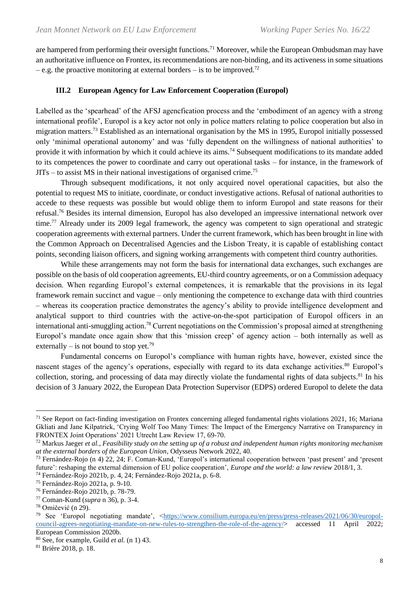are hampered from performing their oversight functions.<sup>71</sup> Moreover, while the European Ombudsman may have an authoritative influence on Frontex, its recommendations are non-binding, and its activeness in some situations  $-$  e.g. the proactive monitoring at external borders  $-$  is to be improved.<sup>72</sup>

## **III.2 European Agency for Law Enforcement Cooperation (Europol)**

Labelled as the 'spearhead' of the AFSJ agencfication process and the 'embodiment of an agency with a strong international profile', Europol is a key actor not only in police matters relating to police cooperation but also in migration matters.<sup>73</sup> Established as an international organisation by the MS in 1995, Europol initially possessed only 'minimal operational autonomy' and was 'fully dependent on the willingness of national authorities' to provide it with information by which it could achieve its aims.<sup>74</sup> Subsequent modifications to its mandate added to its competences the power to coordinate and carry out operational tasks – for instance, in the framework of  $JITs - to assist MS$  in their national investigations of organised crime.<sup>75</sup>

Through subsequent modifications, it not only acquired novel operational capacities, but also the potential to request MS to initiate, coordinate, or conduct investigative actions. Refusal of national authorities to accede to these requests was possible but would oblige them to inform Europol and state reasons for their refusal.<sup>76</sup> Besides its internal dimension, Europol has also developed an impressive international network over time.<sup>77</sup> Already under its 2009 legal framework, the agency was competent to sign operational and strategic cooperation agreements with external partners. Under the current framework, which has been brought in line with the Common Approach on Decentralised Agencies and the Lisbon Treaty, it is capable of establishing contact points, seconding liaison officers, and signing working arrangements with competent third country authorities.

While these arrangements may not form the basis for international data exchanges, such exchanges are possible on the basis of old cooperation agreements, EU-third country agreements, or on a Commission adequacy decision. When regarding Europol's external competences, it is remarkable that the provisions in its legal framework remain succinct and vague – only mentioning the competence to exchange data with third countries – whereas its cooperation practice demonstrates the agency's ability to provide intelligence development and analytical support to third countries with the active-on-the-spot participation of Europol officers in an international anti-smuggling action.<sup>78</sup> Current negotiations on the Commission's proposal aimed at strengthening Europol's mandate once again show that this 'mission creep' of agency action – both internally as well as externally – is not bound to stop yet.<sup>79</sup>

Fundamental concerns on Europol's compliance with human rights have, however, existed since the nascent stages of the agency's operations, especially with regard to its data exchange activities.<sup>80</sup> Europol's collection, storing, and processing of data may directly violate the fundamental rights of data subjects.<sup>81</sup> In his decision of 3 January 2022, the European Data Protection Supervisor (EDPS) ordered Europol to delete the data

 $71$  See Report on fact-finding investigation on Frontex concerning alleged fundamental rights violations 2021, 16; Mariana Gkliati and Jane Kilpatrick, 'Crying Wolf Too Many Times: The Impact of the Emergency Narrative on Transparency in FRONTEX Joint Operations' 2021 Utrecht Law Review 17, 69-70.

<sup>72</sup> Markus Jaeger *et al., Feasibility study on the setting up of a robust and independent human rights monitoring mechanism at the external borders of the European Union*, Odysseus Network 2022, 40.

<sup>73</sup> Fernández-Rojo (n 4) 22, 24; F. Coman-Kund, 'Europol's international cooperation between 'past present' and 'present future': reshaping the external dimension of EU police cooperation', *Europe and the world: a law review* 2018/1, 3.

<sup>74</sup> Fernández-Rojo 2021b, p. 4, 24; Fernández-Rojo 2021a, p. 6-8.

<sup>75</sup> Fernández-Rojo 2021a, p. 9-10.

<sup>76</sup> Fernández-Rojo 2021b, p. 78-79.

<sup>77</sup> Coman-Kund (*supra* n 36), p. 3-4.

<sup>78</sup> Omičević (n 29).

<sup>&</sup>lt;sup>79</sup> See 'Europol negotiating mandate', [<https://www.consilium.europa.eu/en/press/press-releases/2021/06/30/europol](https://www.consilium.europa.eu/en/press/press-releases/2021/06/30/europol-council-agrees-negotiating-mandate-on-new-rules-to-strengthen-the-role-of-the-agency/)[council-agrees-negotiating-mandate-on-new-rules-to-strengthen-the-role-of-the-agency/>](https://www.consilium.europa.eu/en/press/press-releases/2021/06/30/europol-council-agrees-negotiating-mandate-on-new-rules-to-strengthen-the-role-of-the-agency/) accessed 11 April 2022; European Commission 2020b.

<sup>80</sup> See, for example, Guild *et al.* (n 1) 43.

<sup>81</sup> Brière 2018, p. 18.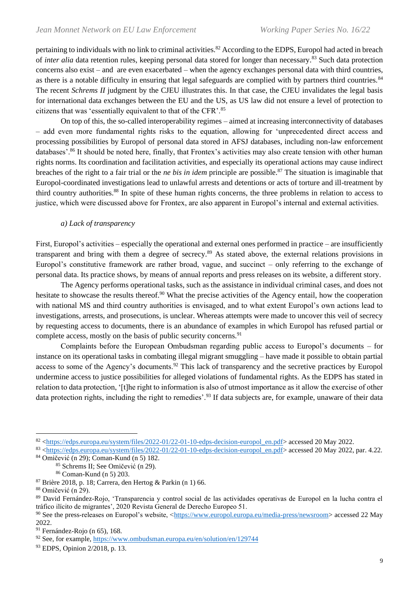pertaining to individuals with no link to criminal activities.<sup>82</sup> According to the EDPS, Europol had acted in breach of *inter alia* data retention rules, keeping personal data stored for longer than necessary.<sup>83</sup> Such data protection concerns also exist – and are even exacerbated – when the agency exchanges personal data with third countries, as there is a notable difficulty in ensuring that legal safeguards are complied with by partners third countries.<sup>84</sup> The recent *Schrems II* judgment by the CJEU illustrates this. In that case, the CJEU invalidates the legal basis for international data exchanges between the EU and the US, as US law did not ensure a level of protection to citizens that was 'essentially equivalent to that of the CFR'.<sup>85</sup>

On top of this, the so-called interoperability regimes – aimed at increasing interconnectivity of databases – add even more fundamental rights risks to the equation, allowing for 'unprecedented direct access and processing possibilities by Europol of personal data stored in AFSJ databases, including non-law enforcement databases'.<sup>86</sup> It should be noted here, finally, that Frontex's activities may also create tension with other human rights norms. Its coordination and facilitation activities, and especially its operational actions may cause indirect breaches of the right to a fair trial or the *ne bis in idem* principle are possible.<sup>87</sup> The situation is imaginable that Europol-coordinated investigations lead to unlawful arrests and detentions or acts of torture and ill-treatment by third country authorities.<sup>88</sup> In spite of these human rights concerns, the three problems in relation to access to justice, which were discussed above for Frontex, are also apparent in Europol's internal and external activities.

#### *a) Lack of transparency*

First, Europol's activities – especially the operational and external ones performed in practice – are insufficiently transparent and bring with them a degree of secrecy.<sup>89</sup> As stated above, the external relations provisions in Europol's constitutive framework are rather broad, vague, and succinct – only referring to the exchange of personal data. Its practice shows, by means of annual reports and press releases on its website, a different story.

The Agency performs operational tasks, such as the assistance in individual criminal cases, and does not hesitate to showcase the results thereof.<sup>90</sup> What the precise activities of the Agency entail, how the cooperation with national MS and third country authorities is envisaged, and to what extent Europol's own actions lead to investigations, arrests, and prosecutions, is unclear. Whereas attempts were made to uncover this veil of secrecy by requesting access to documents, there is an abundance of examples in which Europol has refused partial or complete access, mostly on the basis of public security concerns.<sup>91</sup>

Complaints before the European Ombudsman regarding public access to Europol's documents – for instance on its operational tasks in combating illegal migrant smuggling – have made it possible to obtain partial access to some of the Agency's documents.<sup>92</sup> This lack of transparency and the secretive practices by Europol undermine access to justice possibilities for alleged violations of fundamental rights. As the EDPS has stated in relation to data protection, '[t]he right to information is also of utmost importance as it allow the exercise of other data protection rights, including the right to remedies'.<sup>93</sup> If data subjects are, for example, unaware of their data

<sup>82</sup> [<https://edps.europa.eu/system/files/2022-01/22-01-10-edps-decision-europol\\_en.pdf>](https://edps.europa.eu/system/files/2022-01/22-01-10-edps-decision-europol_en.pdf) accessed 20 May 2022.

<sup>83</sup> [<https://edps.europa.eu/system/files/2022-01/22-01-10-edps-decision-europol\\_en.pdf>](https://edps.europa.eu/system/files/2022-01/22-01-10-edps-decision-europol_en.pdf) accessed 20 May 2022, par. 4.22.

<sup>84</sup> Omičević (n 29); Coman-Kund (n 5) 182.

<sup>85</sup> Schrems II; See Omičević (n 29).

<sup>86</sup> Coman-Kund (n 5) 203.

<sup>87</sup> Brière 2018, p. 18; Carrera, den Hertog & Parkin (n 1) 66.

<sup>88</sup> Omičević (n 29).

<sup>89</sup> David Fernández-Rojo, 'Transparencia y control social de las actividades operativas de Europol en la lucha contra el tráfico ilícito de migrantes', 2020 Revista General de Derecho Europeo 51.

<sup>90</sup> See the press-releases on Europol's website, [<https://www.europol.europa.eu/media-press/newsroom>](https://www.europol.europa.eu/media-press/newsroom) accessed 22 May 2022.

<sup>&</sup>lt;sup>91</sup> Fernández-Rojo (n 65), 168.

<sup>92</sup> See, for example,<https://www.ombudsman.europa.eu/en/solution/en/129744>

<sup>93</sup> EDPS, Opinion 2/2018, p. 13.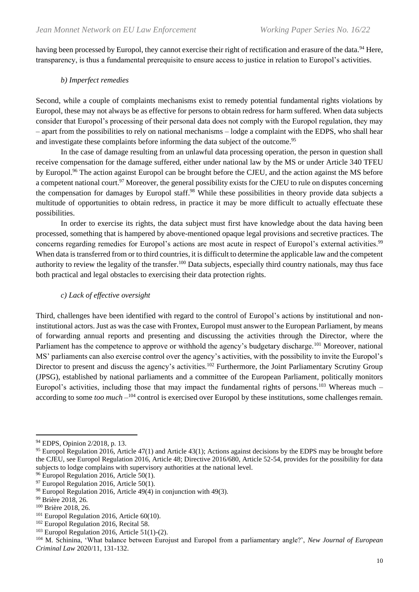having been processed by Europol, they cannot exercise their right of rectification and erasure of the data.<sup>94</sup> Here, transparency, is thus a fundamental prerequisite to ensure access to justice in relation to Europol's activities.

## *b) Imperfect remedies*

Second, while a couple of complaints mechanisms exist to remedy potential fundamental rights violations by Europol, these may not always be as effective for persons to obtain redress for harm suffered. When data subjects consider that Europol's processing of their personal data does not comply with the Europol regulation, they may – apart from the possibilities to rely on national mechanisms – lodge a complaint with the EDPS, who shall hear and investigate these complaints before informing the data subject of the outcome.<sup>95</sup>

In the case of damage resulting from an unlawful data processing operation, the person in question shall receive compensation for the damage suffered, either under national law by the MS or under Article 340 TFEU by Europol.<sup>96</sup> The action against Europol can be brought before the CJEU, and the action against the MS before a competent national court.<sup>97</sup> Moreover, the general possibility exists for the CJEU to rule on disputes concerning the compensation for damages by Europol staff.<sup>98</sup> While these possibilities in theory provide data subjects a multitude of opportunities to obtain redress, in practice it may be more difficult to actually effectuate these possibilities.

In order to exercise its rights, the data subject must first have knowledge about the data having been processed, something that is hampered by above-mentioned opaque legal provisions and secretive practices. The concerns regarding remedies for Europol's actions are most acute in respect of Europol's external activities.<sup>99</sup> When data is transferred from or to third countries, it is difficult to determine the applicable law and the competent authority to review the legality of the transfer.<sup>100</sup> Data subjects, especially third country nationals, may thus face both practical and legal obstacles to exercising their data protection rights.

## *c) Lack of effective oversight*

Third, challenges have been identified with regard to the control of Europol's actions by institutional and noninstitutional actors. Just as was the case with Frontex, Europol must answer to the European Parliament, by means of forwarding annual reports and presenting and discussing the activities through the Director, where the Parliament has the competence to approve or withhold the agency's budgetary discharge.<sup>101</sup> Moreover, national MS' parliaments can also exercise control over the agency's activities, with the possibility to invite the Europol's Director to present and discuss the agency's activities.<sup>102</sup> Furthermore, the Joint Parliamentary Scrutiny Group (JPSG), established by national parliaments and a committee of the European Parliament, politically monitors Europol's activities, including those that may impact the fundamental rights of persons.<sup>103</sup> Whereas much – according to some *too much*  $-^{104}$  control is exercised over Europol by these institutions, some challenges remain.

<sup>94</sup> EDPS, Opinion 2/2018, p. 13.

<sup>&</sup>lt;sup>95</sup> Europol Regulation 2016, Article 47(1) and Article 43(1); Actions against decisions by the EDPS may be brought before the CJEU, see Europol Regulation 2016, Article 48; Directive 2016/680, Article 52-54, provides for the possibility for data subjects to lodge complains with supervisory authorities at the national level.

<sup>&</sup>lt;sup>96</sup> Europol Regulation 2016, Article 50(1).

 $97$  Europol Regulation 2016, Article 50(1).

 $98$  Europol Regulation 2016, Article 49(4) in conjunction with 49(3).

<sup>99</sup> Brière 2018, 26.

<sup>&</sup>lt;sup>100</sup> Brière 2018, 26.

 $101$  Europol Regulation 2016, Article 60(10).

<sup>&</sup>lt;sup>102</sup> Europol Regulation 2016, Recital 58.

 $103$  Europol Regulation 2016, Article 51(1)-(2).

<sup>104</sup> M. Schinina, 'What balance between Eurojust and Europol from a parliamentary angle?', *New Journal of European Criminal Law* 2020/11, 131-132.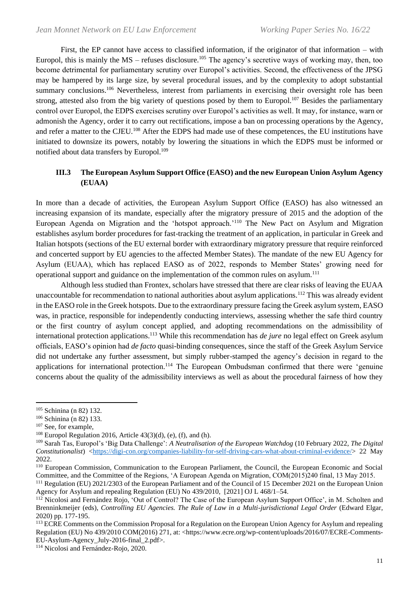First, the EP cannot have access to classified information, if the originator of that information – with Europol, this is mainly the  $MS$  – refuses disclosure.<sup>105</sup> The agency's secretive ways of working may, then, too become detrimental for parliamentary scrutiny over Europol's activities. Second, the effectiveness of the JPSG may be hampered by its large size, by several procedural issues, and by the complexity to adopt substantial summary conclusions.<sup>106</sup> Nevertheless, interest from parliaments in exercising their oversight role has been strong, attested also from the big variety of questions posed by them to Europol.<sup>107</sup> Besides the parliamentary control over Europol, the EDPS exercises scrutiny over Europol's activities as well. It may, for instance, warn or admonish the Agency, order it to carry out rectifications, impose a ban on processing operations by the Agency, and refer a matter to the CJEU.<sup>108</sup> After the EDPS had made use of these competences, the EU institutions have initiated to downsize its powers, notably by lowering the situations in which the EDPS must be informed or notified about data transfers by Europol.<sup>109</sup>

# **III.3 The European Asylum Support Office (EASO) and the new European Union Asylum Agency (EUAA)**

In more than a decade of activities, the European Asylum Support Office (EASO) has also witnessed an increasing expansion of its mandate, especially after the migratory pressure of 2015 and the adoption of the European Agenda on Migration and the 'hotspot approach.'<sup>110</sup> The New Pact on Asylum and Migration establishes asylum border procedures for fast-tracking the treatment of an application, in particular in Greek and Italian hotspots (sections of the EU external border with extraordinary migratory pressure that require reinforced and concerted support by EU agencies to the affected Member States). The mandate of the new EU Agency for Asylum (EUAA), which has replaced EASO as of 2022, responds to Member States' growing need for operational support and guidance on the implementation of the common rules on asylum.<sup>111</sup>

Although less studied than Frontex, scholars have stressed that there are clear risks of leaving the EUAA unaccountable for recommendation to national authorities about asylum applications.<sup>112</sup> This was already evident in the EASO role in the Greek hotspots. Due to the extraordinary pressure facing the Greek asylum system, EASO was, in practice, responsible for independently conducting interviews, assessing whether the safe third country or the first country of asylum concept applied, and adopting recommendations on the admissibility of international protection applications.<sup>113</sup> While this recommendation has *de jure* no legal effect on Greek asylum officials, EASO's opinion had *de facto* quasi-binding consequences, since the staff of the Greek Asylum Service did not undertake any further assessment, but simply rubber-stamped the agency's decision in regard to the applications for international protection.<sup>114</sup> The European Ombudsman confirmed that there were 'genuine concerns about the quality of the admissibility interviews as well as about the procedural fairness of how they

<sup>105</sup> Schinina (n 82) 132.

<sup>106</sup> Schinina (n 82) 133.

<sup>&</sup>lt;sup>107</sup> See, for example,

<sup>&</sup>lt;sup>108</sup> Europol Regulation 2016, Article  $43(3)(d)$ , (e), (f), and (h).

<sup>109</sup> Sarah Tas, Europol's 'Big Data Challenge': *A Neutralisation of the European Watchdog* (10 February 2022, *The Digital Constitutionalist*) [<https://digi-con.org/companies-liability-for-self-driving-cars-what-about-criminal-evidence/>](https://digi-con.org/companies-liability-for-self-driving-cars-what-about-criminal-evidence/) 22 May 2022.

<sup>&</sup>lt;sup>110</sup> European Commission, Communication to the European Parliament, the Council, the European Economic and Social Committee, and the Committee of the Regions, 'A European Agenda on Migration, COM(2015)240 final, 13 May 2015.

<sup>&</sup>lt;sup>111</sup> Regulation (EU) 2021/2303 of the European Parliament and of the Council of 15 December 2021 on the European Union Agency for Asylum and repealing Regulation (EU) No 439/2010, [2021] OJ L 468/1–54.

<sup>&</sup>lt;sup>112</sup> Nicolosi and Fernández Rojo, 'Out of Control? The Case of the European Asylum Support Office', in M. Scholten and Brenninkmeijer (eds), *Controlling EU Agencies. The Rule of Law in a Multi-jurisdictional Legal Order* (Edward Elgar, 2020) pp. 177-195.

<sup>&</sup>lt;sup>113</sup> ECRE Comments on the Commission Proposal for a Regulation on the European Union Agency for Asylum and repealing Regulation (EU) No 439/2010 COM(2016) 271, at: <https://www.ecre.org/wp-content/uploads/2016/07/ECRE-Comments-EU-Asylum-Agency\_July-2016-final\_2.pdf>.

<sup>114</sup> Nicolosi and Fernández-Rojo, 2020.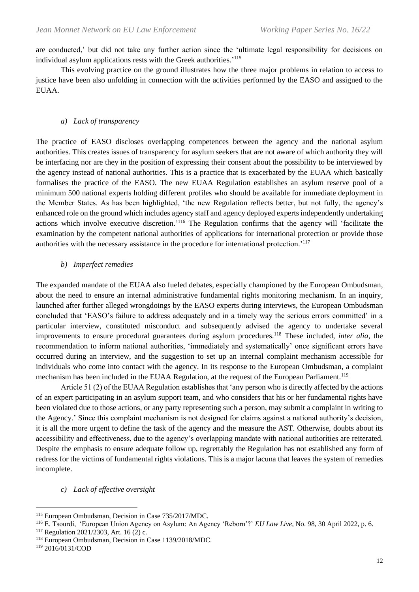are conducted,' but did not take any further action since the 'ultimate legal responsibility for decisions on individual asylum applications rests with the Greek authorities.<sup>'115</sup>

This evolving practice on the ground illustrates how the three major problems in relation to access to justice have been also unfolding in connection with the activities performed by the EASO and assigned to the EUAA.

#### *a) Lack of transparency*

The practice of EASO discloses overlapping competences between the agency and the national asylum authorities. This creates issues of transparency for asylum seekers that are not aware of which authority they will be interfacing nor are they in the position of expressing their consent about the possibility to be interviewed by the agency instead of national authorities. This is a practice that is exacerbated by the EUAA which basically formalises the practice of the EASO. The new EUAA Regulation establishes an asylum reserve pool of a minimum 500 national experts holding different profiles who should be available for immediate deployment in the Member States. As has been highlighted, 'the new Regulation reflects better, but not fully, the agency's enhanced role on the ground which includes agency staff and agency deployed experts independently undertaking actions which involve executive discretion.<sup>'116</sup> The Regulation confirms that the agency will 'facilitate the examination by the competent national authorities of applications for international protection or provide those authorities with the necessary assistance in the procedure for international protection.'<sup>117</sup>

# *b) Imperfect remedies*

The expanded mandate of the EUAA also fueled debates, especially championed by the European Ombudsman, about the need to ensure an internal administrative fundamental rights monitoring mechanism. In an inquiry, launched after further alleged wrongdoings by the EASO experts during interviews, the European Ombudsman concluded that 'EASO's failure to address adequately and in a timely way the serious errors committed' in a particular interview, constituted misconduct and subsequently advised the agency to undertake several improvements to ensure procedural guarantees during asylum procedures.<sup>118</sup> These included, *inter alia*, the recommendation to inform national authorities, 'immediately and systematically' once significant errors have occurred during an interview, and the suggestion to set up an internal complaint mechanism accessible for individuals who come into contact with the agency. In its response to the European Ombudsman, a complaint mechanism has been included in the EUAA Regulation, at the request of the European Parliament.<sup>119</sup>

Article 51 (2) of the EUAA Regulation establishes that 'any person who is directly affected by the actions of an expert participating in an asylum support team, and who considers that his or her fundamental rights have been violated due to those actions, or any party representing such a person, may submit a complaint in writing to the Agency.' Since this complaint mechanism is not designed for claims against a national authority's decision, it is all the more urgent to define the task of the agency and the measure the AST. Otherwise, doubts about its accessibility and effectiveness, due to the agency's overlapping mandate with national authorities are reiterated. Despite the emphasis to ensure adequate follow up, regrettably the Regulation has not established any form of redress for the victims of fundamental rights violations. This is a major lacuna that leaves the system of remedies incomplete.

#### *c) Lack of effective oversight*

<sup>119</sup> 2016/0131/COD

<sup>115</sup> European Ombudsman, Decision in Case 735/2017/MDC.

<sup>116</sup> E. Tsourdi, 'European Union Agency on Asylum: An Agency 'Reborn'?' *EU Law Live*, No. 98, 30 April 2022, p. 6.

<sup>117</sup> Regulation 2021/2303, Art. 16 (2) c.

<sup>118</sup> European Ombudsman, Decision in Case 1139/2018/MDC.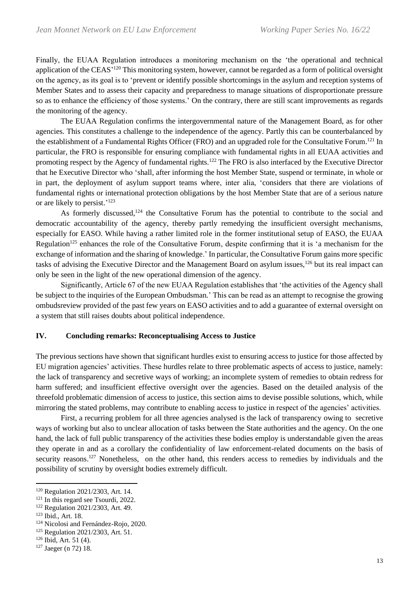Finally, the EUAA Regulation introduces a monitoring mechanism on the 'the operational and technical application of the CEAS'<sup>120</sup> This monitoring system, however, cannot be regarded as a form of political oversight on the agency, as its goal is to 'prevent or identify possible shortcomings in the asylum and reception systems of Member States and to assess their capacity and preparedness to manage situations of disproportionate pressure so as to enhance the efficiency of those systems.' On the contrary, there are still scant improvements as regards the monitoring of the agency.

The EUAA Regulation confirms the intergovernmental nature of the Management Board, as for other agencies. This constitutes a challenge to the independence of the agency. Partly this can be counterbalanced by the establishment of a Fundamental Rights Officer (FRO) and an upgraded role for the Consultative Forum.<sup>121</sup> In particular, the FRO is responsible for ensuring compliance with fundamental rights in all EUAA activities and promoting respect by the Agency of fundamental rights.<sup>122</sup> The FRO is also interfaced by the Executive Director that he Executive Director who 'shall, after informing the host Member State, suspend or terminate, in whole or in part, the deployment of asylum support teams where, inter alia, 'considers that there are violations of fundamental rights or international protection obligations by the host Member State that are of a serious nature or are likely to persist.' 123

As formerly discussed,<sup>124</sup> the Consultative Forum has the potential to contribute to the social and democratic accountability of the agency, thereby partly remedying the insufficient oversight mechanisms, especially for EASO. While having a rather limited role in the former institutional setup of EASO, the EUAA Regulation<sup>125</sup> enhances the role of the Consultative Forum, despite confirming that it is 'a mechanism for the exchange of information and the sharing of knowledge.' In particular, the Consultative Forum gains more specific tasks of advising the Executive Director and the Management Board on asylum issues,<sup>126</sup> but its real impact can only be seen in the light of the new operational dimension of the agency.

Significantly, Article 67 of the new EUAA Regulation establishes that 'the activities of the Agency shall be subject to the inquiries of the European Ombudsman.' This can be read as an attempt to recognise the growing ombudsreview provided of the past few years on EASO activities and to add a guarantee of external oversight on a system that still raises doubts about political independence.

### **IV. Concluding remarks: Reconceptualising Access to Justice**

The previous sections have shown that significant hurdles exist to ensuring access to justice for those affected by EU migration agencies' activities. These hurdles relate to three problematic aspects of access to justice, namely: the lack of transparency and secretive ways of working; an incomplete system of remedies to obtain redress for harm suffered; and insufficient effective oversight over the agencies. Based on the detailed analysis of the threefold problematic dimension of access to justice, this section aims to devise possible solutions, which, while mirroring the stated problems, may contribute to enabling access to justice in respect of the agencies' activities.

First, a recurring problem for all three agencies analysed is the lack of transparency owing to secretive ways of working but also to unclear allocation of tasks between the State authorities and the agency. On the one hand, the lack of full public transparency of the activities these bodies employ is understandable given the areas they operate in and as a corollary the confidentiality of law enforcement-related documents on the basis of security reasons.<sup>127</sup> Nonetheless, on the other hand, this renders access to remedies by individuals and the possibility of scrutiny by oversight bodies extremely difficult.

<sup>120</sup> Regulation 2021/2303, Art. 14.

<sup>&</sup>lt;sup>121</sup> In this regard see Tsourdi, 2022.

<sup>122</sup> Regulation 2021/2303, Art. 49.

<sup>123</sup> Ibid., Art. 18.

<sup>124</sup> Nicolosi and Fernández-Rojo, 2020.

<sup>125</sup> Regulation 2021/2303, Art. 51.

 $126$  Ibid, Art. 51 (4).

<sup>127</sup> Jaeger (n 72) 18.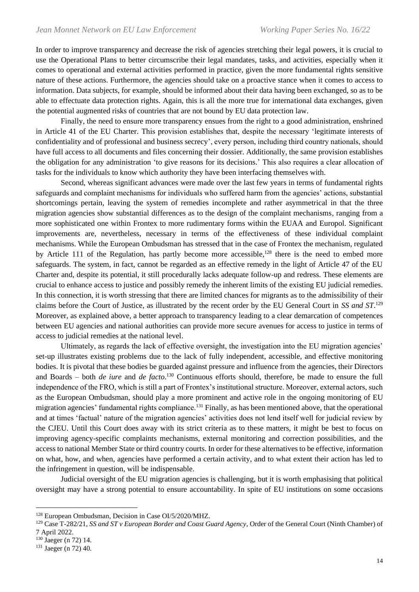In order to improve transparency and decrease the risk of agencies stretching their legal powers, it is crucial to use the Operational Plans to better circumscribe their legal mandates, tasks, and activities, especially when it comes to operational and external activities performed in practice, given the more fundamental rights sensitive nature of these actions. Furthermore, the agencies should take on a proactive stance when it comes to access to information. Data subjects, for example, should be informed about their data having been exchanged, so as to be able to effectuate data protection rights. Again, this is all the more true for international data exchanges, given the potential augmented risks of countries that are not bound by EU data protection law.

Finally, the need to ensure more transparency ensues from the right to a good administration, enshrined in Article 41 of the EU Charter. This provision establishes that, despite the necessary 'legitimate interests of confidentiality and of professional and business secrecy', every person, including third country nationals, should have full access to all documents and files concerning their dossier. Additionally, the same provision establishes the obligation for any administration 'to give reasons for its decisions.' This also requires a clear allocation of tasks for the individuals to know which authority they have been interfacing themselves with.

Second, whereas significant advances were made over the last few years in terms of fundamental rights safeguards and complaint mechanisms for individuals who suffered harm from the agencies' actions, substantial shortcomings pertain, leaving the system of remedies incomplete and rather asymmetrical in that the three migration agencies show substantial differences as to the design of the complaint mechanisms, ranging from a more sophisticated one within Frontex to more rudimentary forms within the EUAA and Europol. Significant improvements are, nevertheless, necessary in terms of the effectiveness of these individual complaint mechanisms. While the European Ombudsman has stressed that in the case of Frontex the mechanism, regulated by Article 111 of the Regulation, has partly become more accessible,<sup>128</sup> there is the need to embed more safeguards. The system, in fact, cannot be regarded as an effective remedy in the light of Article 47 of the EU Charter and, despite its potential, it still procedurally lacks adequate follow-up and redress. These elements are crucial to enhance access to justice and possibly remedy the inherent limits of the existing EU judicial remedies. In this connection, it is worth stressing that there are limited chances for migrants as to the admissibility of their claims before the Court of Justice, as illustrated by the recent order by the EU General Court in *SS and ST*. 129 Moreover, as explained above, a better approach to transparency leading to a clear demarcation of competences between EU agencies and national authorities can provide more secure avenues for access to justice in terms of access to judicial remedies at the national level.

Ultimately, as regards the lack of effective oversight, the investigation into the EU migration agencies' set-up illustrates existing problems due to the lack of fully independent, accessible, and effective monitoring bodies. It is pivotal that these bodies be guarded against pressure and influence from the agencies, their Directors and Boards – both *de iure* and *de facto*. <sup>130</sup> Continuous efforts should, therefore, be made to ensure the full independence of the FRO, which is still a part of Frontex's institutional structure. Moreover, external actors, such as the European Ombudsman, should play a more prominent and active role in the ongoing monitoring of EU migration agencies' fundamental rights compliance.<sup>131</sup> Finally, as has been mentioned above, that the operational and at times 'factual' nature of the migration agencies' activities does not lend itself well for judicial review by the CJEU. Until this Court does away with its strict criteria as to these matters, it might be best to focus on improving agency-specific complaints mechanisms, external monitoring and correction possibilities, and the access to national Member State or third country courts. In order for these alternatives to be effective, information on what, how, and when, agencies have performed a certain activity, and to what extent their action has led to the infringement in question, will be indispensable.

Judicial oversight of the EU migration agencies is challenging, but it is worth emphasising that political oversight may have a strong potential to ensure accountability. In spite of EU institutions on some occasions

<sup>128</sup> European Ombudsman, Decision in Case OI/5/2020/MHZ.

<sup>129</sup> Case T-282/21, *SS and ST v European Border and Coast Guard Agency*, Order of the General Court (Ninth Chamber) of 7 April 2022.

<sup>130</sup> Jaeger (n 72) 14.

<sup>131</sup> Jaeger (n 72) 40.